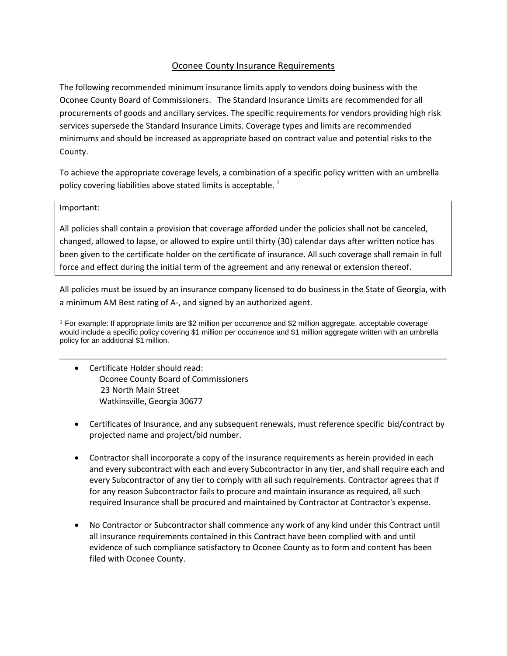# Oconee County Insurance Requirements

The following recommended minimum insurance limits apply to vendors doing business with the Oconee County Board of Commissioners. The Standard Insurance Limits are recommended for all procurements of goods and ancillary services. The specific requirements for vendors providing high risk services supersede the Standard Insurance Limits. Coverage types and limits are recommended minimums and should be increased as appropriate based on contract value and potential risks to the County.

To achieve the appropriate coverage levels, a combination of a specific policy written with an umbrella policy covering liabilities above stated limits is acceptable.  $<sup>1</sup>$ </sup>

## Important:

All policies shall contain a provision that coverage afforded under the policies shall not be canceled, changed, allowed to lapse, or allowed to expire until thirty (30) calendar days after written notice has been given to the certificate holder on the certificate of insurance. All such coverage shall remain in full force and effect during the initial term of the agreement and any renewal or extension thereof.

All policies must be issued by an insurance company licensed to do business in the State of Georgia, with a minimum AM Best rating of A-, and signed by an authorized agent.

 $1$  For example: If appropriate limits are \$2 million per occurrence and \$2 million aggregate, acceptable coverage would include a specific policy covering \$1 million per occurrence and \$1 million aggregate written with an umbrella policy for an additional \$1 million.

- Certificate Holder should read: Oconee County Board of Commissioners 23 North Main Street Watkinsville, Georgia 30677
- Certificates of Insurance, and any subsequent renewals, must reference specific bid/contract by projected name and project/bid number.
- Contractor shall incorporate a copy of the insurance requirements as herein provided in each and every subcontract with each and every Subcontractor in any tier, and shall require each and every Subcontractor of any tier to comply with all such requirements. Contractor agrees that if for any reason Subcontractor fails to procure and maintain insurance as required, all such required Insurance shall be procured and maintained by Contractor at Contractor's expense.
- No Contractor or Subcontractor shall commence any work of any kind under this Contract until all insurance requirements contained in this Contract have been complied with and until evidence of such compliance satisfactory to Oconee County as to form and content has been filed with Oconee County.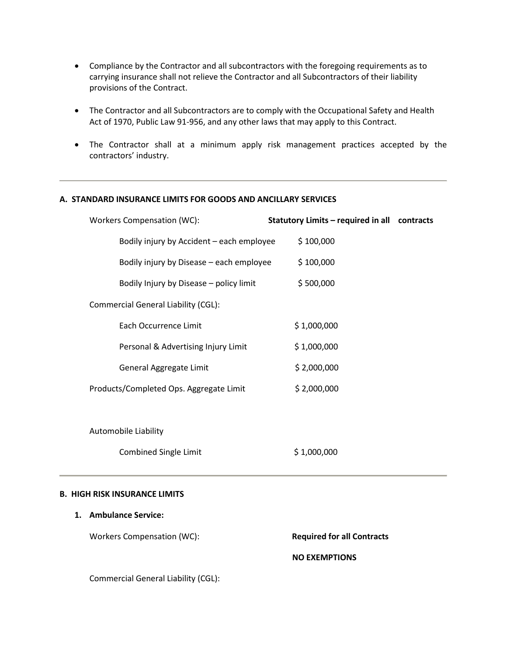- Compliance by the Contractor and all subcontractors with the foregoing requirements as to carrying insurance shall not relieve the Contractor and all Subcontractors of their liability provisions of the Contract.
- The Contractor and all Subcontractors are to comply with the Occupational Safety and Health Act of 1970, Public Law 91-956, and any other laws that may apply to this Contract.
- The Contractor shall at a minimum apply risk management practices accepted by the contractors' industry.

## **A. STANDARD INSURANCE LIMITS FOR GOODS AND ANCILLARY SERVICES**

| Workers Compensation (WC):                | Statutory Limits – required in all contracts |
|-------------------------------------------|----------------------------------------------|
| Bodily injury by Accident – each employee | \$100,000                                    |
| Bodily injury by Disease – each employee  | \$100,000                                    |
| Bodily Injury by Disease – policy limit   | \$500,000                                    |
| Commercial General Liability (CGL):       |                                              |
| Each Occurrence Limit                     | \$1,000,000                                  |
| Personal & Advertising Injury Limit       | \$1,000,000                                  |
| General Aggregate Limit                   | \$2,000,000                                  |
| Products/Completed Ops. Aggregate Limit   | \$2,000,000                                  |
|                                           |                                              |
|                                           |                                              |

Automobile Liability

Combined Single Limit \$ 1,000,000

### **B. HIGH RISK INSURANCE LIMITS**

# **1. Ambulance Service:**

Workers Compensation (WC): **Required for all Contracts** 

### **NO EXEMPTIONS**

Commercial General Liability (CGL):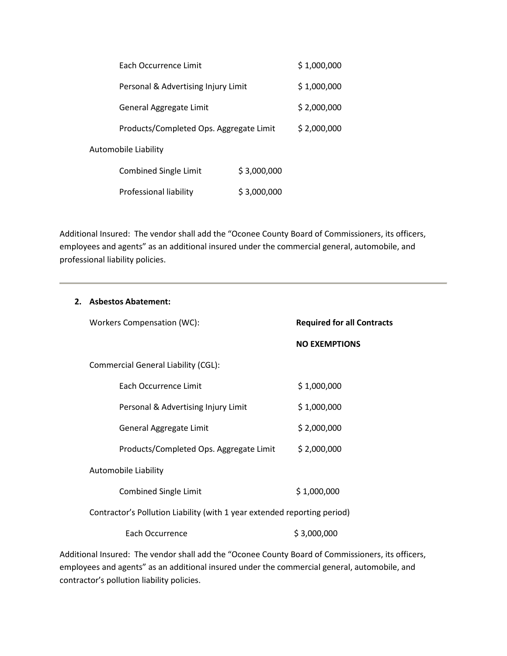|                      | <b>Fach Occurrence Limit</b>            |             | \$1,000,000 |
|----------------------|-----------------------------------------|-------------|-------------|
|                      | Personal & Advertising Injury Limit     |             | \$1,000,000 |
|                      | General Aggregate Limit                 |             | \$2,000,000 |
|                      | Products/Completed Ops. Aggregate Limit |             | \$2,000,000 |
| Automobile Liability |                                         |             |             |
|                      | <b>Combined Single Limit</b>            | \$3,000,000 |             |
|                      | Professional liability                  | \$3,000,000 |             |

Additional Insured: The vendor shall add the "Oconee County Board of Commissioners, its officers, employees and agents" as an additional insured under the commercial general, automobile, and professional liability policies.

| 2. Asbestos Abatement:                                                                           |                                   |
|--------------------------------------------------------------------------------------------------|-----------------------------------|
| Workers Compensation (WC):                                                                       | <b>Required for all Contracts</b> |
|                                                                                                  | <b>NO EXEMPTIONS</b>              |
| Commercial General Liability (CGL):                                                              |                                   |
| Each Occurrence Limit                                                                            | \$1,000,000                       |
| Personal & Advertising Injury Limit                                                              | \$1,000,000                       |
| General Aggregate Limit                                                                          | \$2,000,000                       |
| Products/Completed Ops. Aggregate Limit                                                          | \$2,000,000                       |
| Automobile Liability                                                                             |                                   |
| <b>Combined Single Limit</b>                                                                     | \$1,000,000                       |
| Contractor's Pollution Liability (with 1 year extended reporting period)                         |                                   |
| Each Occurrence                                                                                  | \$3,000,000                       |
| dditional Insured:  The vendor shall add the "Oconee County Roard of Commissioners  its officers |                                   |

Additional Insured: The vendor shall add the "Oconee County Board of Commissioners, its officers, employees and agents" as an additional insured under the commercial general, automobile, and contractor's pollution liability policies.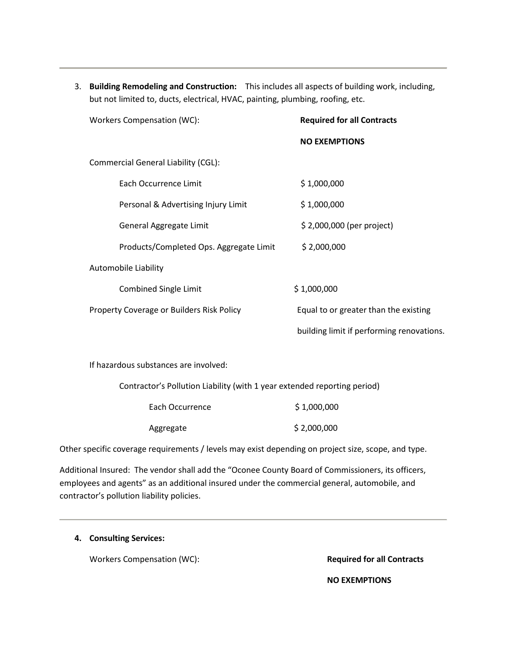3. **Building Remodeling and Construction:** This includes all aspects of building work, including, but not limited to, ducts, electrical, HVAC, painting, plumbing, roofing, etc.

| Workers Compensation (WC):                | <b>Required for all Contracts</b>         |
|-------------------------------------------|-------------------------------------------|
|                                           | <b>NO EXEMPTIONS</b>                      |
| Commercial General Liability (CGL):       |                                           |
| Each Occurrence Limit                     | \$1,000,000                               |
| Personal & Advertising Injury Limit       | \$1,000,000                               |
| General Aggregate Limit                   | \$2,000,000 (per project)                 |
| Products/Completed Ops. Aggregate Limit   | \$2,000,000                               |
| Automobile Liability                      |                                           |
| <b>Combined Single Limit</b>              | \$1,000,000                               |
| Property Coverage or Builders Risk Policy | Equal to or greater than the existing     |
|                                           | building limit if performing renovations. |
|                                           |                                           |

If hazardous substances are involved:

Contractor's Pollution Liability (with 1 year extended reporting period)

| Each Occurrence | \$1,000,000 |
|-----------------|-------------|
| Aggregate       | \$2,000,000 |

Other specific coverage requirements / levels may exist depending on project size, scope, and type.

Additional Insured: The vendor shall add the "Oconee County Board of Commissioners, its officers, employees and agents" as an additional insured under the commercial general, automobile, and contractor's pollution liability policies.

# **4. Consulting Services:**

Workers Compensation (WC): **Required for all Contracts** 

 **NO EXEMPTIONS**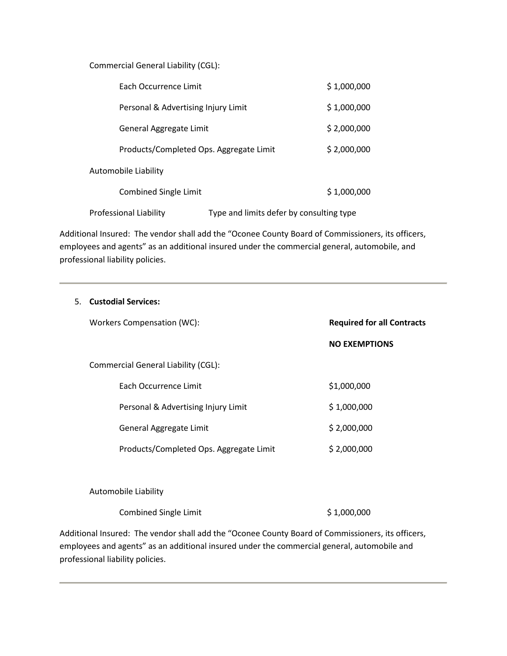Commercial General Liability (CGL):

| <b>Fach Occurrence Limit</b>                                              | \$1,000,000 |
|---------------------------------------------------------------------------|-------------|
| Personal & Advertising Injury Limit                                       | \$1,000,000 |
| General Aggregate Limit                                                   | \$2,000,000 |
| Products/Completed Ops. Aggregate Limit                                   | \$2,000,000 |
| Automobile Liability                                                      |             |
| <b>Combined Single Limit</b>                                              | \$1,000,000 |
| Type and limits defer by consulting type<br><b>Professional Liability</b> |             |

Additional Insured: The vendor shall add the "Oconee County Board of Commissioners, its officers, employees and agents" as an additional insured under the commercial general, automobile, and professional liability policies.

| 5. Custodial Services:                  |                                   |
|-----------------------------------------|-----------------------------------|
| Workers Compensation (WC):              | <b>Required for all Contracts</b> |
|                                         | <b>NO EXEMPTIONS</b>              |
| Commercial General Liability (CGL):     |                                   |
| Each Occurrence Limit                   | \$1,000,000                       |
| Personal & Advertising Injury Limit     | \$1,000,000                       |
| General Aggregate Limit                 | \$2,000,000                       |
| Products/Completed Ops. Aggregate Limit | \$2,000,000                       |
|                                         |                                   |
| Automobile Liability                    |                                   |
| <b>Combined Single Limit</b>            | \$1,000,000                       |

Additional Insured: The vendor shall add the "Oconee County Board of Commissioners, its officers, employees and agents" as an additional insured under the commercial general, automobile and professional liability policies.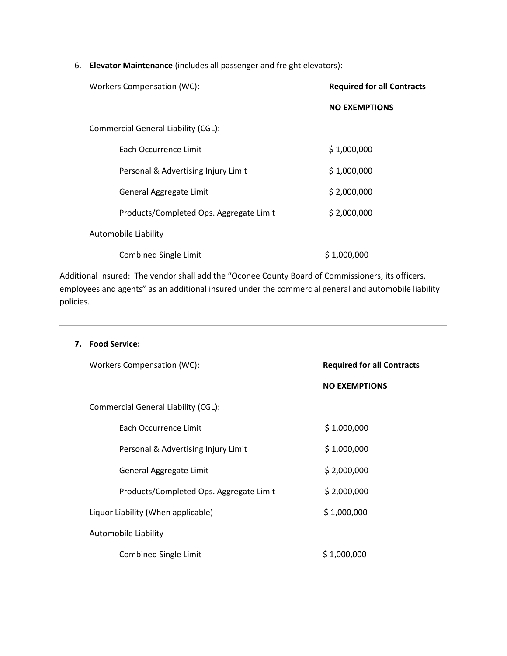6. **Elevator Maintenance** (includes all passenger and freight elevators):

| Workers Compensation (WC):              | <b>Required for all Contracts</b> |
|-----------------------------------------|-----------------------------------|
|                                         | <b>NO EXEMPTIONS</b>              |
| Commercial General Liability (CGL):     |                                   |
| Each Occurrence Limit                   | \$1,000,000                       |
| Personal & Advertising Injury Limit     | \$1,000,000                       |
| General Aggregate Limit                 | \$2,000,000                       |
| Products/Completed Ops. Aggregate Limit | \$2,000,000                       |
| Automobile Liability                    |                                   |
| <b>Combined Single Limit</b>            | \$1,000,000                       |

Additional Insured: The vendor shall add the "Oconee County Board of Commissioners, its officers, employees and agents" as an additional insured under the commercial general and automobile liability policies.

# **7. Food Service:**

| Workers Compensation (WC):              | <b>Required for all Contracts</b> |
|-----------------------------------------|-----------------------------------|
|                                         | <b>NO EXEMPTIONS</b>              |
| Commercial General Liability (CGL):     |                                   |
| Each Occurrence Limit                   | \$1,000,000                       |
| Personal & Advertising Injury Limit     | \$1,000,000                       |
| General Aggregate Limit                 | \$2,000,000                       |
| Products/Completed Ops. Aggregate Limit | \$2,000,000                       |
| Liquor Liability (When applicable)      | \$1,000,000                       |
| Automobile Liability                    |                                   |
| <b>Combined Single Limit</b>            | \$1,000,000                       |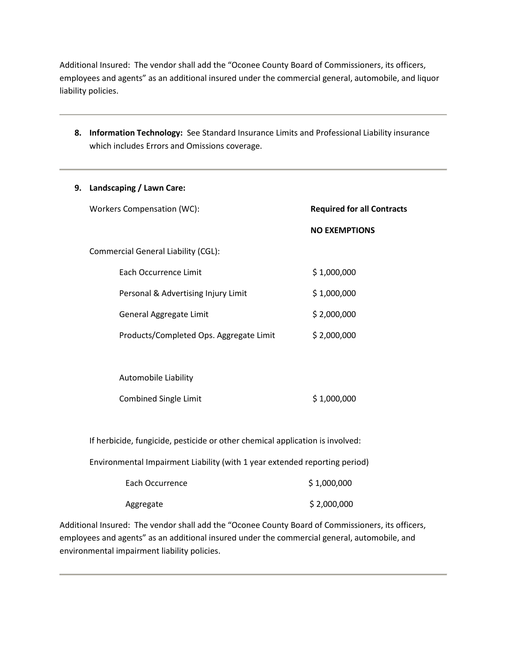Additional Insured: The vendor shall add the "Oconee County Board of Commissioners, its officers, employees and agents" as an additional insured under the commercial general, automobile, and liquor liability policies.

**8. Information Technology:** See Standard Insurance Limits and Professional Liability insurance which includes Errors and Omissions coverage.

| 9. Landscaping / Lawn Care:                                                   |                                   |
|-------------------------------------------------------------------------------|-----------------------------------|
| Workers Compensation (WC):                                                    | <b>Required for all Contracts</b> |
|                                                                               | <b>NO EXEMPTIONS</b>              |
| Commercial General Liability (CGL):                                           |                                   |
| Each Occurrence Limit                                                         | \$1,000,000                       |
| Personal & Advertising Injury Limit                                           | \$1,000,000                       |
| General Aggregate Limit                                                       | \$2,000,000                       |
| Products/Completed Ops. Aggregate Limit                                       | \$2,000,000                       |
|                                                                               |                                   |
| Automobile Liability                                                          |                                   |
| <b>Combined Single Limit</b>                                                  | \$1,000,000                       |
|                                                                               |                                   |
| If herbicide, fungicide, pesticide or other chemical application is involved: |                                   |
| Environmental Impairment Liability (with 1 year extended reporting period)    |                                   |
| <b>Each Occurrence</b>                                                        | \$1,000,000                       |
|                                                                               |                                   |

Additional Insured: The vendor shall add the "Oconee County Board of Commissioners, its officers, employees and agents" as an additional insured under the commercial general, automobile, and

Aggregate \$ 2,000,000

environmental impairment liability policies.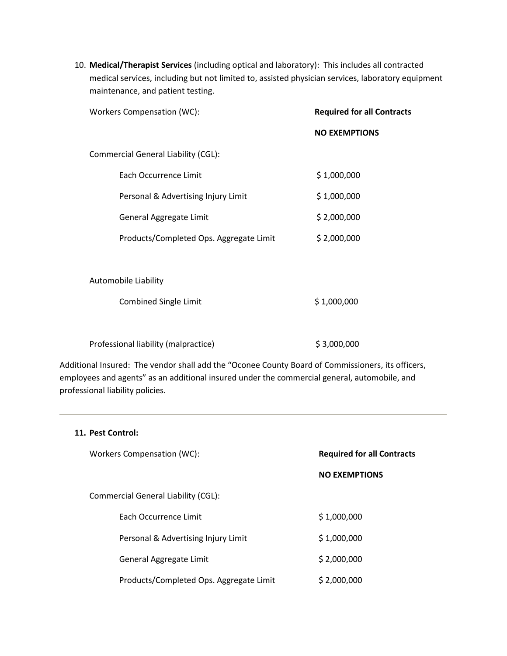10. **Medical/Therapist Services** (including optical and laboratory): This includes all contracted medical services, including but not limited to, assisted physician services, laboratory equipment maintenance, and patient testing.

| Workers Compensation (WC):              | <b>Required for all Contracts</b> |
|-----------------------------------------|-----------------------------------|
|                                         | <b>NO EXEMPTIONS</b>              |
| Commercial General Liability (CGL):     |                                   |
| Each Occurrence Limit                   | \$1,000,000                       |
| Personal & Advertising Injury Limit     | \$1,000,000                       |
| General Aggregate Limit                 | \$2,000,000                       |
| Products/Completed Ops. Aggregate Limit | \$2,000,000                       |
|                                         |                                   |
| Automobile Liability                    |                                   |
| <b>Combined Single Limit</b>            | \$1,000,000                       |
|                                         |                                   |
| Professional liability (malpractice)    | \$3,000,000                       |

Additional Insured: The vendor shall add the "Oconee County Board of Commissioners, its officers, employees and agents" as an additional insured under the commercial general, automobile, and professional liability policies.

# **11. Pest Control:**

| Workers Compensation (WC):              | <b>Required for all Contracts</b> |
|-----------------------------------------|-----------------------------------|
|                                         | <b>NO EXEMPTIONS</b>              |
| Commercial General Liability (CGL):     |                                   |
| <b>Fach Occurrence Limit</b>            | \$1,000,000                       |
| Personal & Advertising Injury Limit     | \$1,000,000                       |
| General Aggregate Limit                 | \$2,000,000                       |
| Products/Completed Ops. Aggregate Limit | \$2,000,000                       |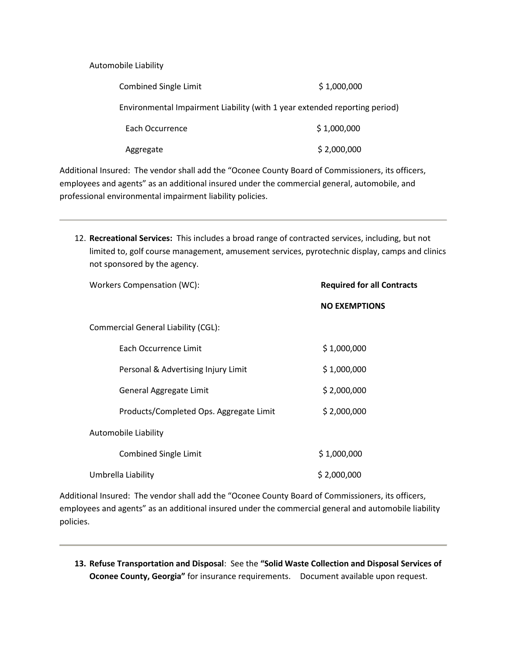Automobile Liability

| Combined Single Limit | \$1,000,000                                                                |
|-----------------------|----------------------------------------------------------------------------|
|                       | Environmental Impairment Liability (with 1 year extended reporting period) |
| Each Occurrence       | \$1,000,000                                                                |
| Aggregate             | \$2,000,000                                                                |

Additional Insured: The vendor shall add the "Oconee County Board of Commissioners, its officers, employees and agents" as an additional insured under the commercial general, automobile, and professional environmental impairment liability policies.

12. **Recreational Services:** This includes a broad range of contracted services, including, but not limited to, golf course management, amusement services, pyrotechnic display, camps and clinics not sponsored by the agency.

| Workers Compensation (WC):              | <b>Required for all Contracts</b> |  |
|-----------------------------------------|-----------------------------------|--|
|                                         | <b>NO EXEMPTIONS</b>              |  |
| Commercial General Liability (CGL):     |                                   |  |
| Each Occurrence Limit                   | \$1,000,000                       |  |
| Personal & Advertising Injury Limit     | \$1,000,000                       |  |
| General Aggregate Limit                 | \$2,000,000                       |  |
| Products/Completed Ops. Aggregate Limit | \$2,000,000                       |  |
| Automobile Liability                    |                                   |  |
| <b>Combined Single Limit</b>            | \$1,000,000                       |  |
| Umbrella Liability                      | \$2,000,000                       |  |

Additional Insured: The vendor shall add the "Oconee County Board of Commissioners, its officers, employees and agents" as an additional insured under the commercial general and automobile liability policies.

**13. Refuse Transportation and Disposal**: See the **"Solid Waste Collection and Disposal Services of Oconee County, Georgia"** for insurance requirements. Document available upon request.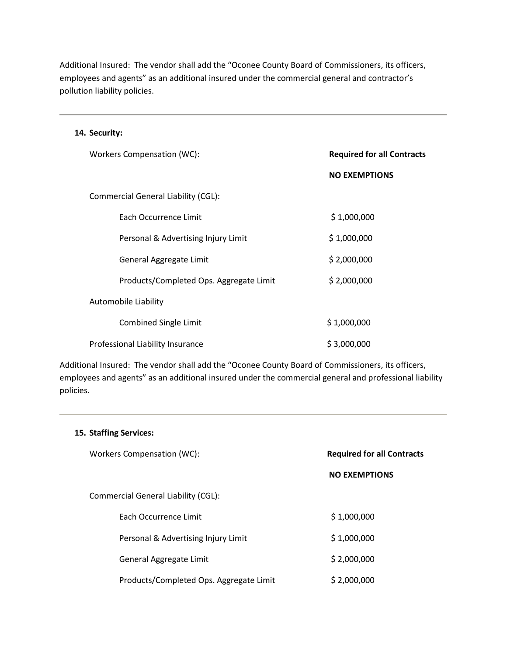Additional Insured: The vendor shall add the "Oconee County Board of Commissioners, its officers, employees and agents" as an additional insured under the commercial general and contractor's pollution liability policies.

## **14. Security:**

| Workers Compensation (WC):                 | <b>Required for all Contracts</b> |
|--------------------------------------------|-----------------------------------|
|                                            | <b>NO EXEMPTIONS</b>              |
| <b>Commercial General Liability (CGL):</b> |                                   |
| Each Occurrence Limit                      | \$1,000,000                       |
| Personal & Advertising Injury Limit        | \$1,000,000                       |
| General Aggregate Limit                    | \$2,000,000                       |
| Products/Completed Ops. Aggregate Limit    | \$2,000,000                       |
| Automobile Liability                       |                                   |
| <b>Combined Single Limit</b>               | \$1,000,000                       |
| Professional Liability Insurance           | \$3,000,000                       |

Additional Insured: The vendor shall add the "Oconee County Board of Commissioners, its officers, employees and agents" as an additional insured under the commercial general and professional liability policies.

# **15. Staffing Services:**

| Workers Compensation (WC):              | <b>Required for all Contracts</b> |  |
|-----------------------------------------|-----------------------------------|--|
|                                         | <b>NO EXEMPTIONS</b>              |  |
| Commercial General Liability (CGL):     |                                   |  |
| <b>Fach Occurrence Limit</b>            | \$1,000,000                       |  |
| Personal & Advertising Injury Limit     | \$1,000,000                       |  |
| General Aggregate Limit                 | \$2,000,000                       |  |
| Products/Completed Ops. Aggregate Limit | \$2,000,000                       |  |